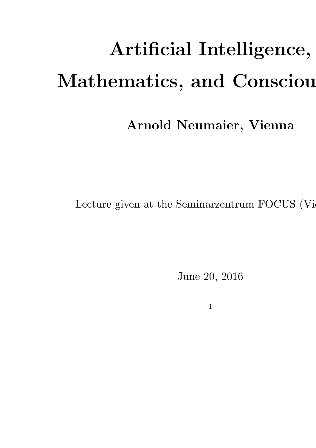# Artificial Intelligence, Mathematics, and Consciou

#### Arnold Neumaier, Vienna

Lecture given at the Seminarzentrum FOCUS (Vie

June 20, 2016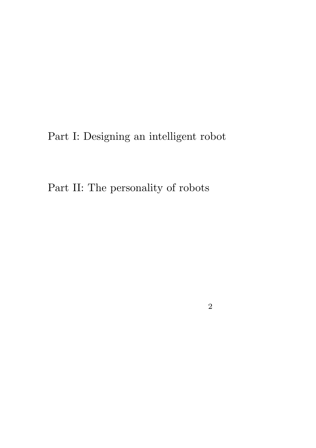Part I: Designing an intelligent robot

Part II: The personality of robots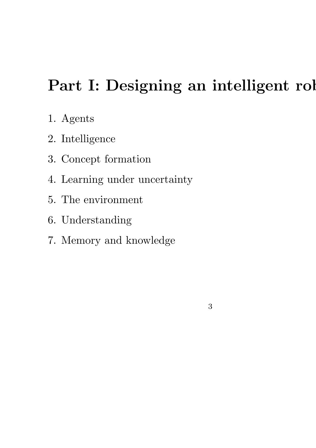### Part I: Designing an intelligent rol

- 1. Agents
- 2. Intelligence
- 3. Concept formation
- 4. Learning under uncertainty
- 5. The environment
- 6. Understanding
- 7. Memory and knowledge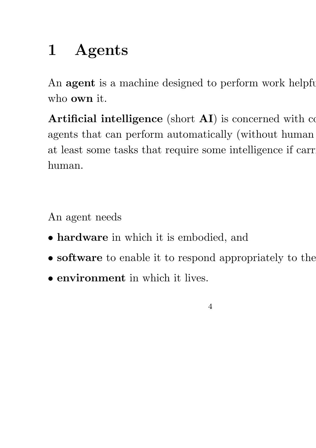# 1 Agents

An **agent** is a machine designed to perform work helpful who own it.

Artificial intelligence (short  $AI$ ) is concerned with complexity agents that can perform automatically (without human at least some tasks that require some intelligence if carr human.

An agent needs

- hardware in which it is embodied, and
- software to enable it to respond appropriately to the
- environment in which it lives.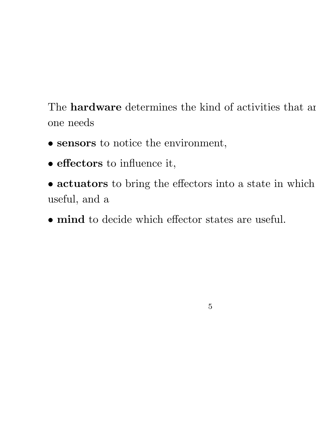The **hardware** determines the kind of activities that are one needs

- sensors to notice the environment,
- effectors to influence it,
- actuators to bring the effectors into a state in which useful, and a

5

• mind to decide which effector states are useful.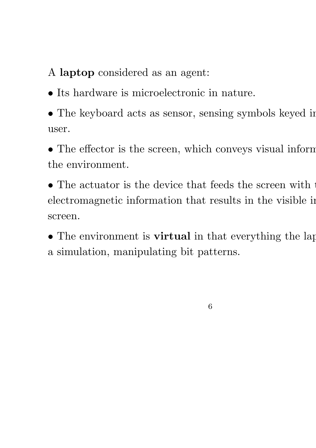A laptop considered as an agent:

- Its hardware is microelectronic in nature.
- The keyboard acts as sensor, sensing symbols keyed in user.
- The effector is the screen, which conveys visual inform the environment.
- $\bullet$  The actuator is the device that feeds the screen with  $\cdot$ electromagnetic information that results in the visible in screen.
- The environment is **virtual** in that everything the lap a simulation, manipulating bit patterns.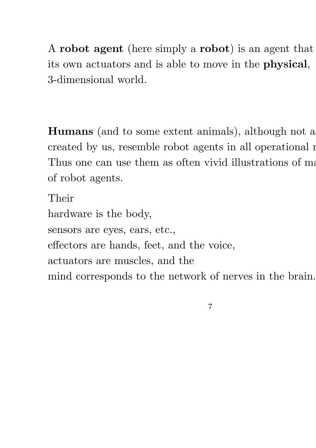A robot agent (here simply a robot) is an agent that its own actuators and is able to move in the physical, 3-dimensional world.

**Humans** (and to some extent animals), although not a created by us, resemble robot agents in all operational  $r$ Thus one can use them as often vivid illustrations of manner of robot agents.

Their hardware is the body, sensors are eyes, ears, etc., effectors are hands, feet, and the voice, actuators are muscles, and the mind corresponds to the network of nerves in the brain.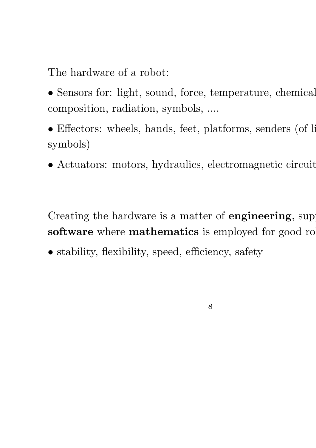The hardware of a robot:

- Sensors for: light, sound, force, temperature, chemical composition, radiation, symbols, ....
- Effectors: wheels, hands, feet, platforms, senders (of light) symbols)
- Actuators: motors, hydraulics, electromagnetic circuits,

Creating the hardware is a matter of **engineering**, suppose software where mathematics is employed for good ro

8

• stability, flexibility, speed, efficiency, safety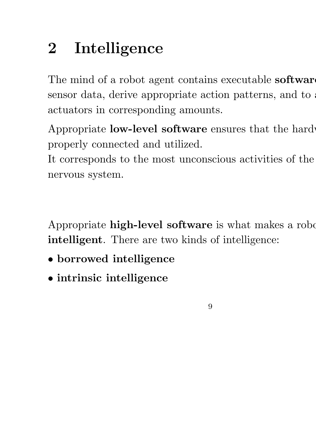# 2 Intelligence

The mind of a robot agent contains executable **softwar** sensor data, derive appropriate action patterns, and to actuators in corresponding amounts.

Appropriate **low-level software** ensures that the hard properly connected and utilized.

It corresponds to the most unconscious activities of the nervous system.

Appropriate high-level software is what makes a robot intelligent. There are two kinds of intelligence:

- borrowed intelligence
- intrinsic intelligence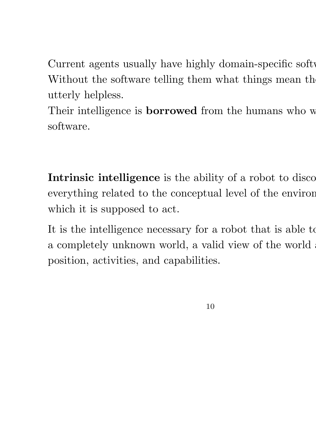Current agents usually have highly domain-specific softw Without the software telling them what things mean the utterly helpless.

Their intelligence is **borrowed** from the humans who w software.

Intrinsic intelligence is the ability of a robot to disco everything related to the conceptual level of the environ which it is supposed to act.

It is the intelligence necessary for a robot that is able to a completely unknown world, a valid view of the world. position, activities, and capabilities.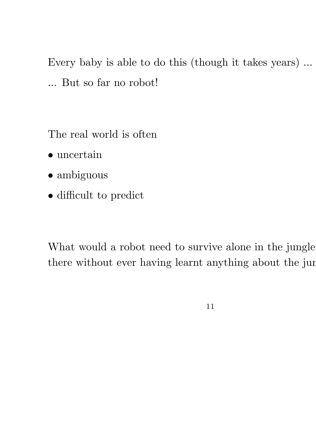Every baby is able to do this (though it takes years) ... ... But so far no robot!

The real world is often

- $\bullet$ uncertain
- ambiguous
- difficult to predict

What would a robot need to survive alone in the jungle there without ever having learnt anything about the jun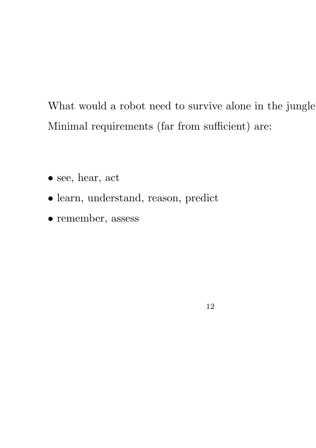What would a robot need to survive alone in the jungle Minimal requirements (far from sufficient) are:

- see, hear, act
- learn, understand, reason, predict
- remember, assess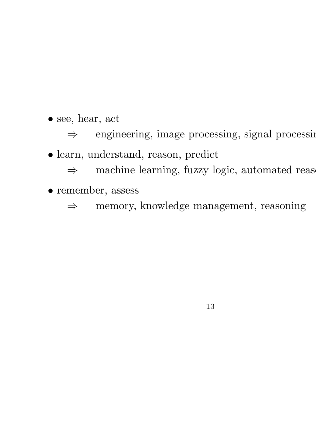• see, hear, act

⇒ engineering, image processing, signal processing

• learn, understand, reason, predict

 $\Rightarrow$  machine learning, fuzzy logic, automated reason

• remember, assess

⇒ memory, knowledge management, reasoning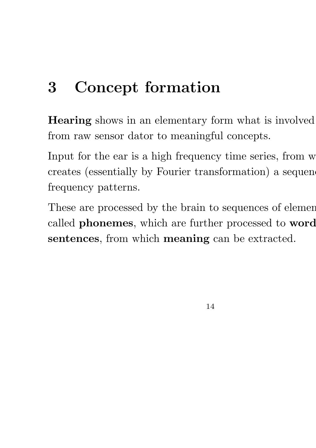# 3 Concept formation

Hearing shows in an elementary form what is involved from raw sensor dator to meaningful concepts.

Input for the ear is a high frequency time series, from w creates (essentially by Fourier transformation) a sequence frequency patterns.

These are processed by the brain to sequences of elemen called phonemes, which are further processed to word sentences, from which meaning can be extracted.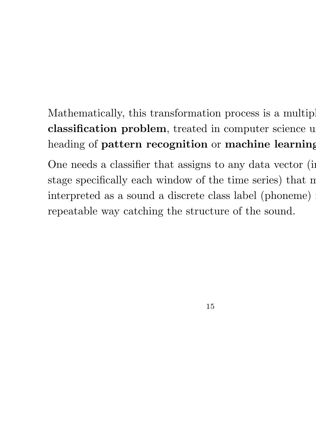#### Mathematically, this transformation process is a multiple classification problem, treated in computer science u heading of pattern recognition or machine learning

One needs a classifier that assigns to any data vector (in stage specifically each window of the time series) that m interpreted as a sound a discrete class label (phoneme) repeatable way catching the structure of the sound.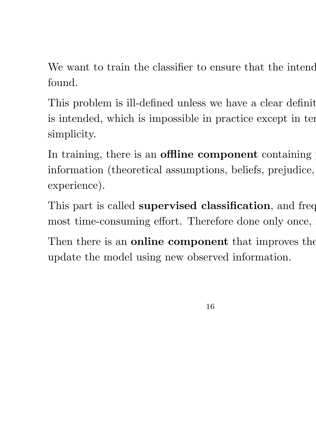We want to train the classifier to ensure that the intendent found.

This problem is ill-defined unless we have a clear definit is intended, which is impossible in practice except in terms simplicity.

In training, there is an offline component containing information (theoretical assumptions, beliefs, prejudice, experience).

This part is called **supervised classification**, and freq most time-consuming effort. Therefore done only once,

Then there is an **online component** that improves the update the model using new observed information.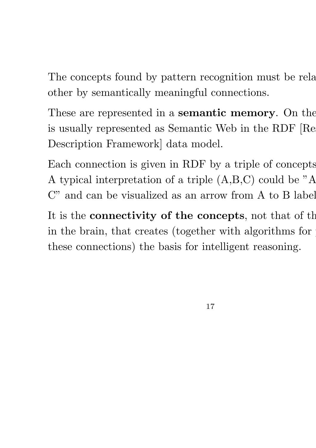The concepts found by pattern recognition must be related. other by semantically meaningful connections.

These are represented in a **semantic memory**. On the is usually represented as Semantic Web in the RDF [Re Description Framework] data model.

Each connection is given in RDF by a triple of concepts. A typical interpretation of a triple (A,B,C) could be "A C" and can be visualized as an arrow from A to B label

It is the **connectivity of the concepts**, not that of the in the brain, that creates (together with algorithms for these connections) the basis for intelligent reasoning.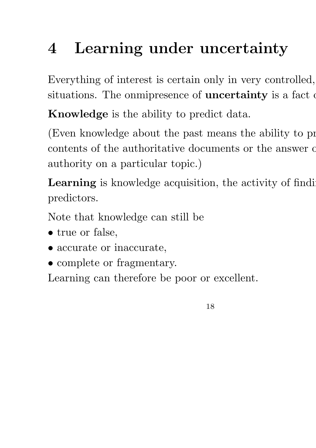# 4 Learning under uncertainty

Everything of interest is certain only in very controlled, situations. The onmipresence of **uncertainty** is a fact of

Knowledge is the ability to predict data.

(Even knowledge about the past means the ability to  $p$ contents of the authoritative documents or the answer of authority on a particular topic.)

Learning is knowledge acquisition, the activity of finding predictors.

Note that knowledge can still be

- true or false,
- accurate or inaccurate,
- complete or fragmentary.

Learning can therefore be poor or excellent.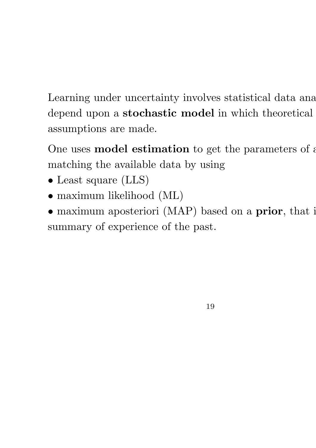Learning under uncertainty involves statistical data ana depend upon a stochastic model in which theoretical assumptions are made.

One uses **model estimation** to get the parameters of a matching the available data by using

- Least square (LLS)
- $\bullet$  maximum likelihood (ML)
- maximum aposteriori (MAP) based on a prior, that is summary of experience of the past.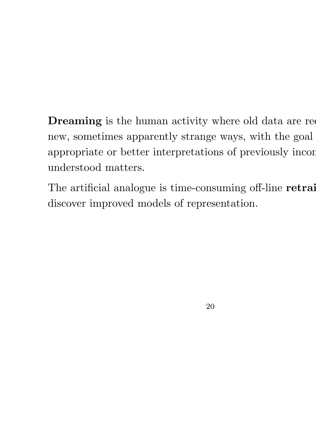Dreaming is the human activity where old data are required new, sometimes apparently strange ways, with the goal appropriate or better interpretations of previously incom understood matters.

The artificial analogue is time-consuming off-line retraining discover improved models of representation.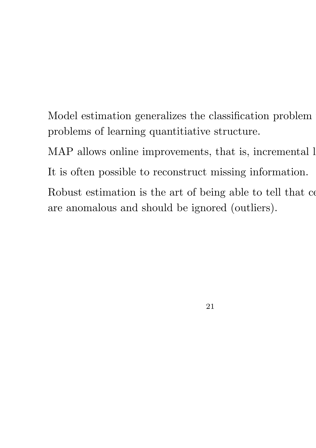Model estimation generalizes the classification problem problems of learning quantitiative structure.

MAP allows online improvements, that is, incremental  $l$ It is often possible to reconstruct missing information.

Robust estimation is the art of being able to tell that computed are anomalous and should be ignored (outliers).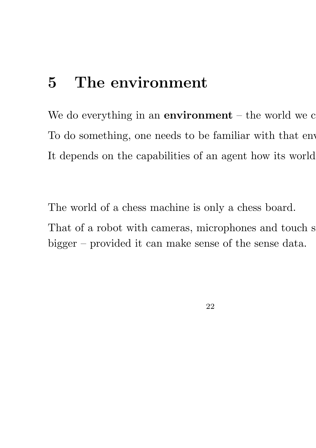### 5 The environment

We do everything in an environment  $-$  the world we  $c$ To do something, one needs to be familiar with that env It depends on the capabilities of an agent how its world

The world of a chess machine is only a chess board. That of a robot with cameras, microphones and touch s bigger – provided it can make sense of the sense data.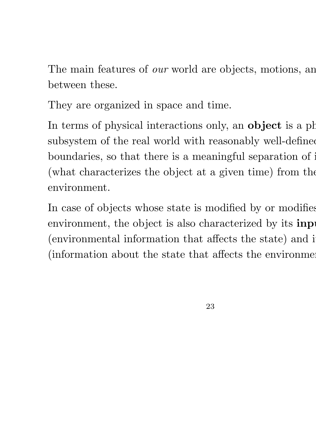The main features of *our* world are objects, motions, and between these.

They are organized in space and time.

In terms of physical interactions only, an **object** is a ph subsystem of the real world with reasonably well-defined boundaries, so that there is a meaningful separation of its (what characterizes the object at a given time) from the environment.

In case of objects whose state is modified by or modifies environment, the object is also characterized by its **inp** (environmental information that affects the state) and i (information about the state that affects the environment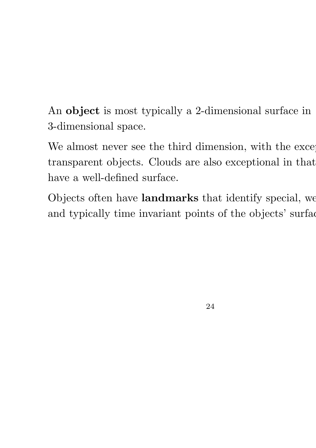An object is most typically a 2-dimensional surface in 3-dimensional space.

We almost never see the third dimension, with the exception transparent objects. Clouds are also exceptional in that have a well-defined surface.

Objects often have landmarks that identify special, we and typically time invariant points of the objects' surface.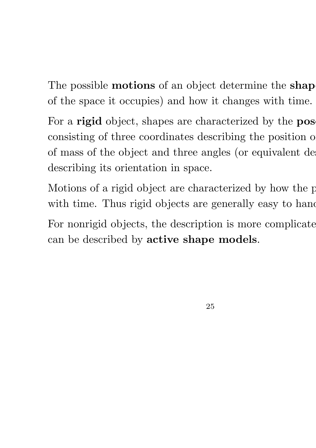The possible **motions** of an object determine the **shap** of the space it occupies) and how it changes with time.

For a rigid object, shapes are characterized by the pos consisting of three coordinates describing the position of of mass of the object and three angles (or equivalent descriptors) describing its orientation in space.

Motions of a rigid object are characterized by how the p with time. Thus rigid objects are generally easy to hand For nonrigid objects, the description is more complicate can be described by active shape models.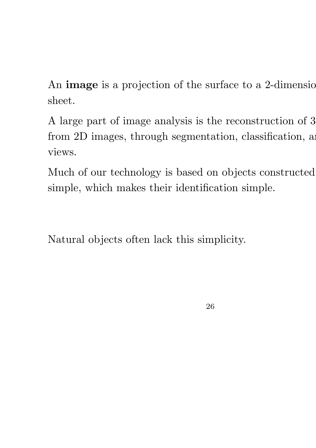An **image** is a projection of the surface to a 2-dimension sheet.

A large part of image analysis is the reconstruction of 3 from 2D images, through segmentation, classification, and views.

Much of our technology is based on objects constructed simple, which makes their identification simple.

Natural objects often lack this simplicity.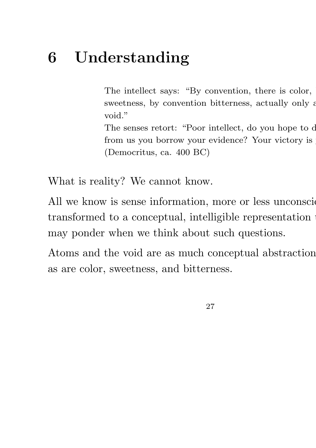### 6 Understanding

The intellect says: "By convention, there is color, sweetness, by convention bitterness, actually only at void."

The senses retort: "Poor intellect, do you hope to defeat the senses retort: "Poor intellect, do you hope to d from us you borrow your evidence? Your victory is (Democritus, ca. 400 BC)

What is reality? We cannot know.

All we know is sense information, more or less unconsciously transformed to a conceptual, intelligible representation may ponder when we think about such questions.

Atoms and the void are as much conceptual abstraction as are color, sweetness, and bitterness.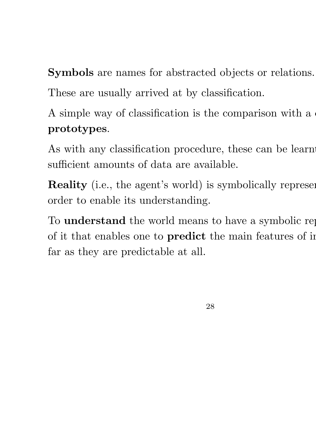Symbols are names for abstracted objects or relations. These are usually arrived at by classification.

A simple way of classification is the comparison with a

#### prototypes.

As with any classification procedure, these can be learn sufficient amounts of data are available.

Reality (i.e., the agent's world) is symbolically represent order to enable its understanding.

To **understand** the world means to have a symbolic represent of it that enables one to predict the main features of in far as they are predictable at all.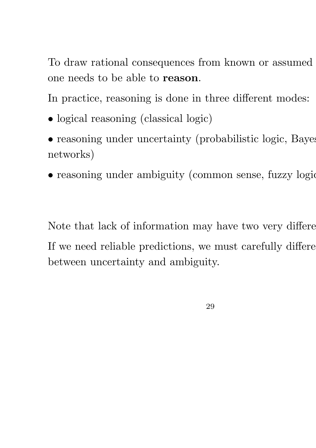To draw rational consequences from known or assumed one needs to be able to reason.

In practice, reasoning is done in three different modes:

- logical reasoning (classical logic)
- $\bullet$  reasoning under uncertainty (probabilistic logic, Bayes networks)
- reasoning under ambiguity (common sense, fuzzy logic

Note that lack of information may have two very different If we need reliable predictions, we must carefully different between uncertainty and ambiguity.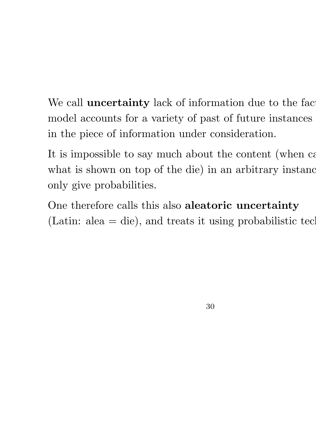We call **uncertainty** lack of information due to the factormodel accounts for a variety of past of future instances in the piece of information under consideration.

It is impossible to say much about the content (when can what is shown on top of the die) in an arbitrary instance only give probabilities.

One therefore calls this also aleatoric uncertainty (Latin: alea  $=$  die), and treats it using probabilistic techniques.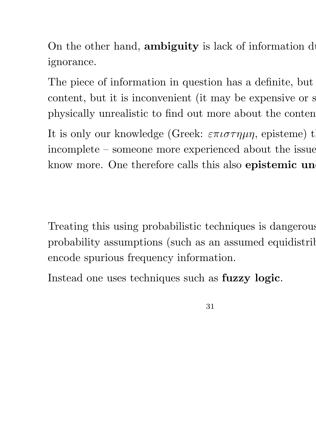On the other hand, **ambiguity** is lack of information due ignorance.

The piece of information in question has a definite, but content, but it is inconvenient (it may be expensive or secondphysically unrealistic to find out more about the conten It is only our knowledge (Greek:  $\varepsilon \pi \iota \sigma \tau \eta \mu \eta$ , episteme) that incomplete – someone more experienced about the issue know more. One therefore calls this also epistemic un

Treating this using probabilistic techniques is dangerous, probability assumptions (such as an assumed equidistribution) encode spurious frequency information.

Instead one uses techniques such as fuzzy logic.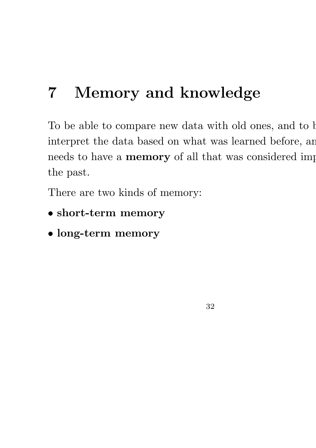## 7 Memory and knowledge

To be able to compare new data with old ones, and to b interpret the data based on what was learned before, an needs to have a memory of all that was considered imp the past.

32

There are two kinds of memory:

- short-term memory
- long-term memory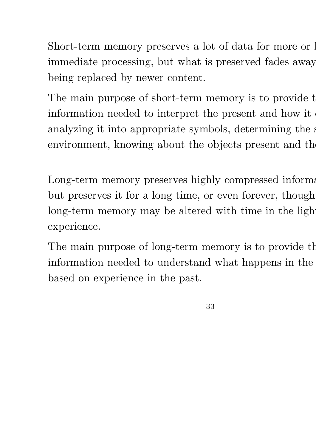Short-term memory preserves a lot of data for more or less immediate processing, but what is preserved fades away being replaced by newer content.

The main purpose of short-term memory is to provide the information needed to interpret the present and how it analyzing it into appropriate symbols, determining the s environment, knowing about the objects present and the

Long-term memory preserves highly compressed informations. but preserves it for a long time, or even forever, though long-term memory may be altered with time in the light experience.

The main purpose of long-term memory is to provide the information needed to understand what happens in the based on experience in the past.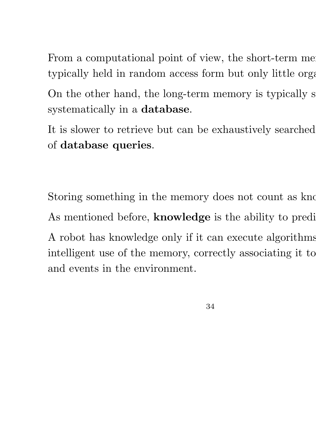From a computational point of view, the short-term memory typically held in random access form but only little organized. On the other hand, the long-term memory is typically s systematically in a database.

It is slower to retrieve but can be exhaustively searched of database queries.

Storing something in the memory does not count as know As mentioned before, **knowledge** is the ability to predi A robot has knowledge only if it can execute algorithms intelligent use of the memory, correctly associating it to and events in the environment.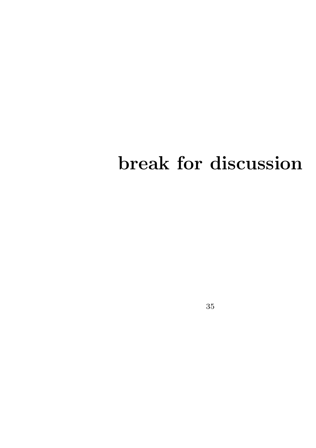# break for discussion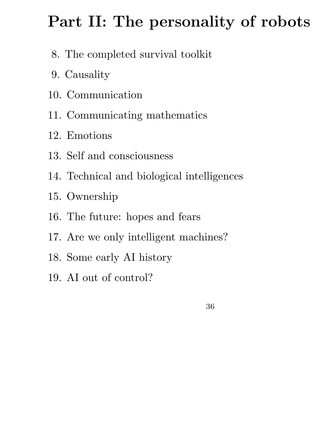### Part II: The personality of robots

- 8. The completed survival toolkit
- 9. Causality
- 10. Communication
- 11. Communicating mathematics
- 12. Emotions
- 13. Self and consciousness
- 14. Technical and biological intelligences
- 15. Ownership
- 16. The future: hopes and fears
- 17. Are we only intelligent machines?
- 18. Some early AI history
- 19. AI out of control?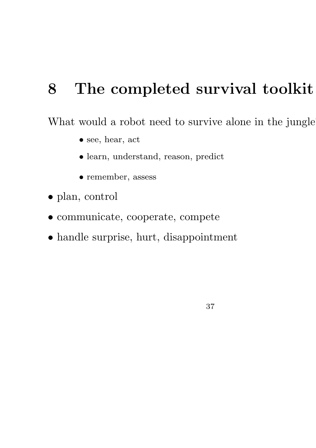# 8 The completed survival toolkit

What would a robot need to survive alone in the jungle

- see, hear, act
- learn, understand, reason, predict
- remember, assess
- plan, control
- communicate, cooperate, compete
- handle surprise, hurt, disappointment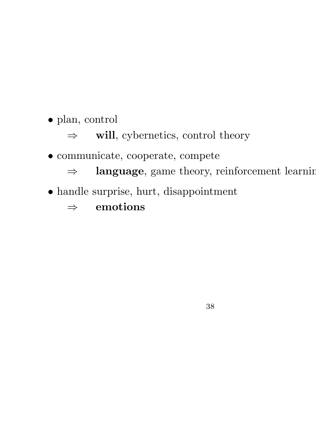• plan, control

 $\Rightarrow$  will, cybernetics, control theory

• communicate, cooperate, compete

⇒ language, game theory, reinforcement learning

• handle surprise, hurt, disappointment

 $\Rightarrow$  emotions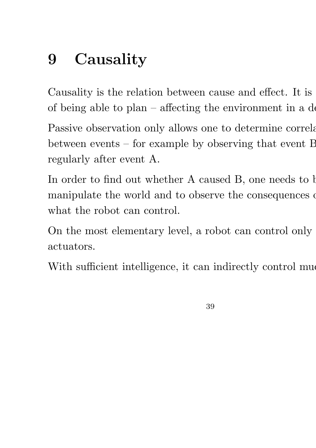# 9 Causality

Causality is the relation between cause and effect. It is of being able to  $plan$  – affecting the environment in a desired Passive observation only allows one to determine correlations between events – for example by observing that event B regularly after event A.

In order to find out whether A caused B, one needs to b manipulate the world and to observe the consequences of what the robot can control.

On the most elementary level, a robot can control only actuators.

With sufficient intelligence, it can indirectly control muero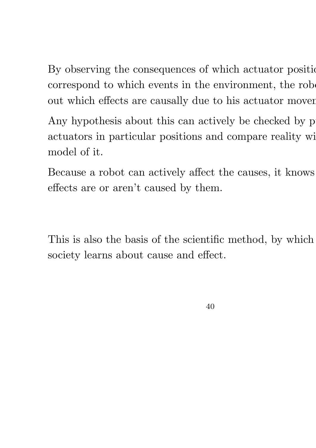By observing the consequences of which actuator positions correspond to which events in the environment, the robot out which effects are causally due to his actuator mover

Any hypothesis about this can actively be checked by p actuators in particular positions and compare reality wi model of it.

Because a robot can actively affect the causes, it knows effects are or aren't caused by them.

This is also the basis of the scientific method, by which society learns about cause and effect.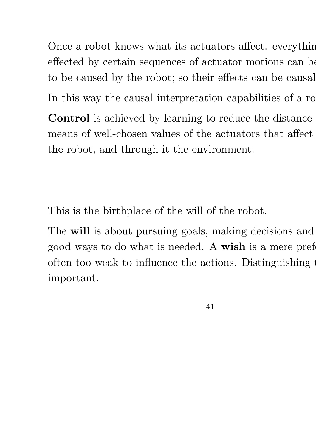Once a robot knows what its actuators affect. everything effected by certain sequences of actuator motions can be to be caused by the robot; so their effects can be causal In this way the causal interpretation capabilities of a ro Control is achieved by learning to reduce the distance means of well-chosen values of the actuators that affect the robot, and through it the environment.

This is the birthplace of the will of the robot.

The will is about pursuing goals, making decisions and good ways to do what is needed. A wish is a mere preference often too weak to influence the actions. Distinguishing the important.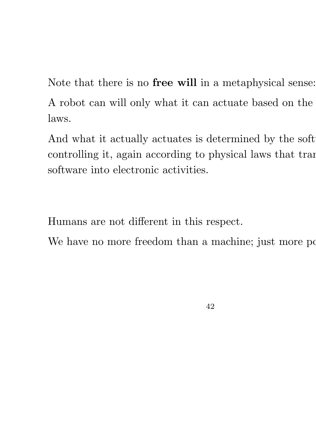Note that there is no free will in a metaphysical sense: A robot can will only what it can actuate based on the laws.

And what it actually actuates is determined by the soft controlling it, again according to physical laws that trans software into electronic activities.

Humans are not different in this respect.

We have no more freedom than a machine; just more possible to  $\mu$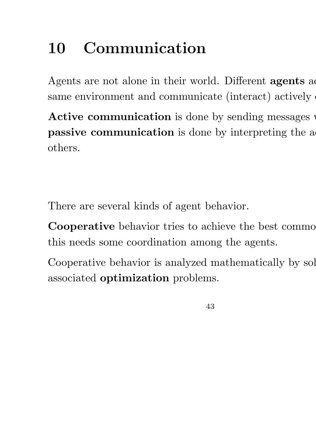# 10 Communication

Agents are not alone in their world. Different **agents** as same environment and communicate (interact) actively

Active communication is done by sending messages passive communication is done by interpreting the a others.

There are several kinds of agent behavior.

**Cooperative** behavior tries to achieve the best common this needs some coordination among the agents.

Cooperative behavior is analyzed mathematically by sol associated optimization problems.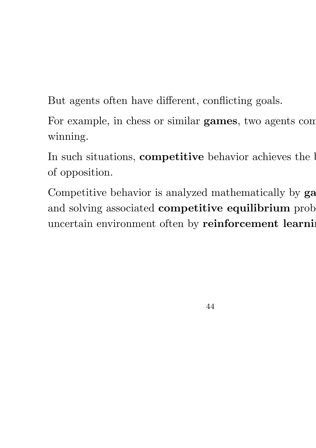But agents often have different, conflicting goals.

For example, in chess or similar games, two agents comwinning.

In such situations, competitive behavior achieves the bulk of opposition.

Competitive behavior is analyzed mathematically by ga and solving associated competitive equilibrium prob uncertain environment often by reinforcement learning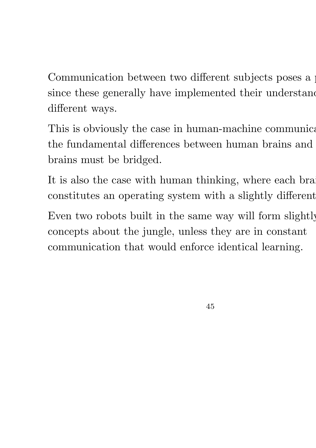Communication between two different subjects poses a since these generally have implemented their understanding different ways.

This is obviously the case in human-machine communication, the fundamental differences between human brains and brains must be bridged.

It is also the case with human thinking, where each bra constitutes an operating system with a slightly different

Even two robots built in the same way will form slightly concepts about the jungle, unless they are in constant communication that would enforce identical learning.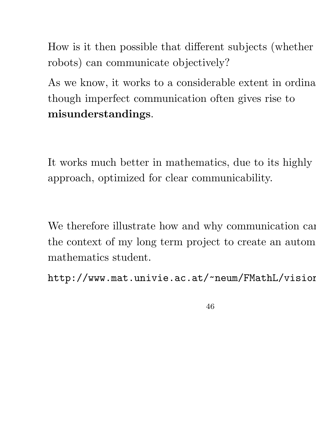How is it then possible that different subjects (whether robots) can communicate objectively?

As we know, it works to a considerable extent in ordinary though imperfect communication often gives rise to misunderstandings.

It works much better in mathematics, due to its highly approach, optimized for clear communicability.

We therefore illustrate how and why communication can the context of my long term project to create an autom mathematics student.

http://www.mat.univie.ac.at/~neum/FMathL/vision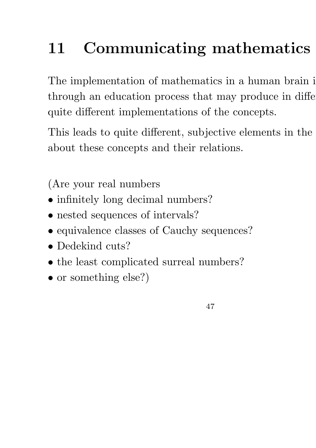# 11 Communicating mathematics

The implementation of mathematics in a human brain is through an education process that may produce in different quite different implementations of the concepts.

This leads to quite different, subjective elements in the about these concepts and their relations.

(Are your real numbers

- infinitely long decimal numbers?
- nested sequences of intervals?
- equivalence classes of Cauchy sequences?
- Dedekind cuts?
- the least complicated surreal numbers?
- or something else?)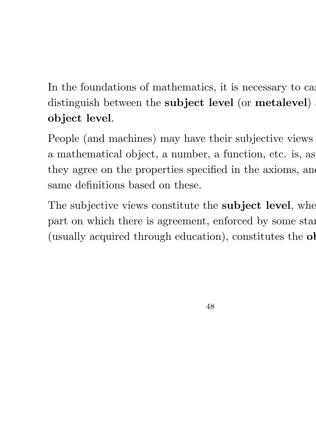### In the foundations of mathematics, it is necessary to car distinguish between the **subject level** (or **metalevel**) object level.

People (and machines) may have their subjective views a mathematical object, a number, a function, etc. is, as they agree on the properties specified in the axioms, and same definitions based on these.

The subjective views constitute the subject level, where part on which there is agreement, enforced by some standard (usually acquired through education), constitutes the ob-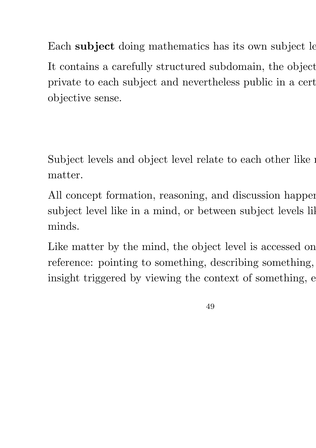Each subject doing mathematics has its own subject le It contains a carefully structured subdomain, the object private to each subject and nevertheless public in a cert objective sense.

Subject levels and object level relate to each other like  $\mathbf i$ matter.

All concept formation, reasoning, and discussion happens subject level like in a mind, or between subject levels lil minds.

Like matter by the mind, the object level is accessed on reference: pointing to something, describing something, insight triggered by viewing the context of something,  $e$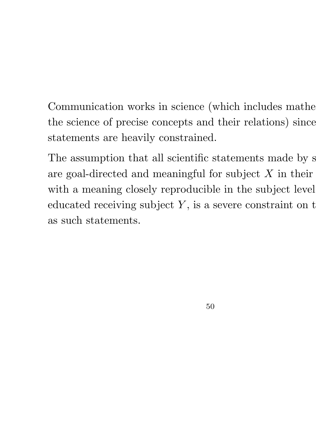Communication works in science (which includes mathematics) the science of precise concepts and their relations) since statements are heavily constrained.

The assumption that all scientific statements made by s are goal-directed and meaningful for subject  $X$  in their with a meaning closely reproducible in the subject level educated receiving subject  $Y$ , is a severe constraint on t as such statements.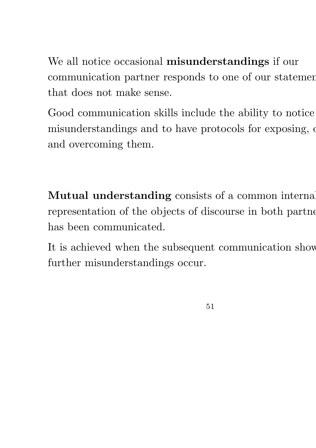We all notice occasional misunderstandings if our communication partner responds to one of our statemen that does not make sense.

Good communication skills include the ability to notice misunderstandings and to have protocols for exposing,  $\alpha$ and overcoming them.

Mutual understanding consists of a common internal representation of the objects of discourse in both partne has been communicated.

It is achieved when the subsequent communication show further misunderstandings occur.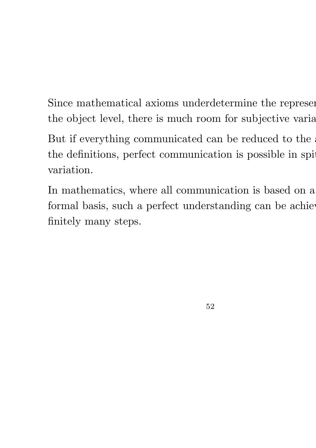Since mathematical axioms underdetermine the represen the object level, there is much room for subjective variation. But if everything communicated can be reduced to the the definitions, perfect communication is possible in spi variation.

In mathematics, where all communication is based on a formal basis, such a perfect understanding can be achieved. finitely many steps.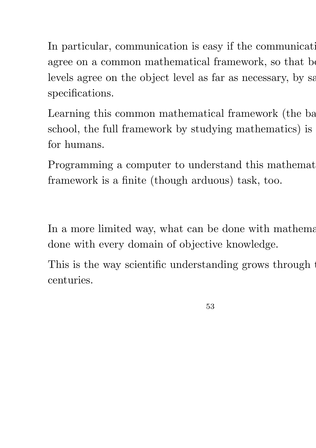In particular, communication is easy if the communication agree on a common mathematical framework, so that be levels agree on the object level as far as necessary, by satisfying specifications.

Learning this common mathematical framework (the base school, the full framework by studying mathematics) is for humans.

Programming a computer to understand this mathemat framework is a finite (though arduous) task, too.

In a more limited way, what can be done with mathematics. done with every domain of objective knowledge.

This is the way scientific understanding grows through the centuries.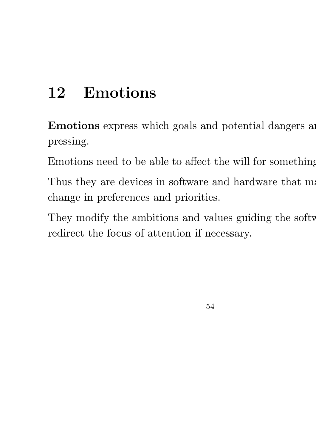## 12 Emotions

Emotions express which goals and potential dangers are pressing.

Emotions need to be able to affect the will for something

Thus they are devices in software and hardware that ma change in preferences and priorities.

They modify the ambitions and values guiding the softw redirect the focus of attention if necessary.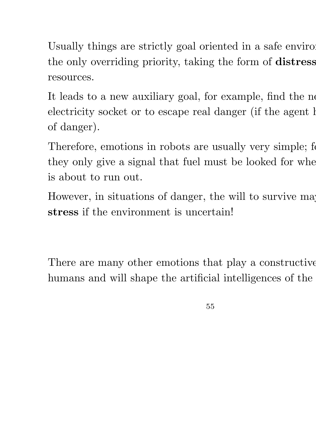Usually things are strictly goal oriented in a safe environment the only overriding priority, taking the form of distress resources.

It leads to a new auxiliary goal, for example, find the ne electricity socket or to escape real danger (if the agent has of danger).

Therefore, emotions in robots are usually very simple; for they only give a signal that fuel must be looked for when is about to run out.

However, in situations of danger, the will to survive may stress if the environment is uncertain!

There are many other emotions that play a constructive humans and will shape the artificial intelligences of the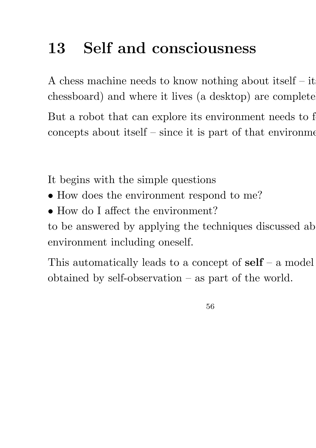# 13 Self and consciousness

A chess machine needs to know nothing about itself  $-$  it chessboard) and where it lives (a desktop) are complete But a robot that can explore its environment needs to f concepts about itself  $-$  since it is part of that environment

It begins with the simple questions

- How does the environment respond to me?
- How do I affect the environment?

to be answered by applying the techniques discussed ab environment including oneself.

This automatically leads to a concept of  $\text{self}$  – a model obtained by self-observation – as part of the world.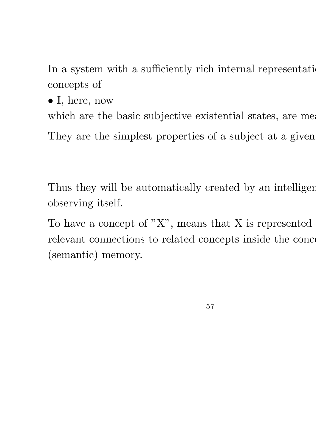In a system with a sufficiently rich internal representation, concepts of

• I, here, now

which are the basic subjective existential states, are meaningful.

They are the simplest properties of a subject at a given

Thus they will be automatically created by an intelligen observing itself.

To have a concept of  $"X"$ , means that X is represented relevant connections to related concepts inside the conce (semantic) memory.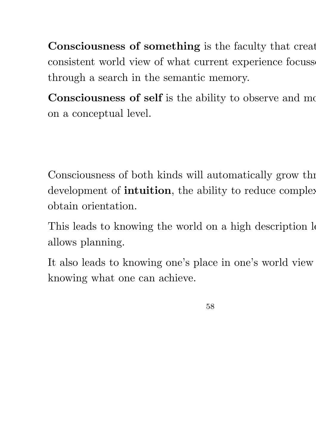Consciousness of something is the faculty that creat consistent world view of what current experience focusses through a search in the semantic memory.

Consciousness of self is the ability to observe and mo on a conceptual level.

Consciousness of both kinds will automatically grow the development of **intuition**, the ability to reduce complex obtain orientation.

This leads to knowing the world on a high description level allows planning.

It also leads to knowing one's place in one's world view knowing what one can achieve.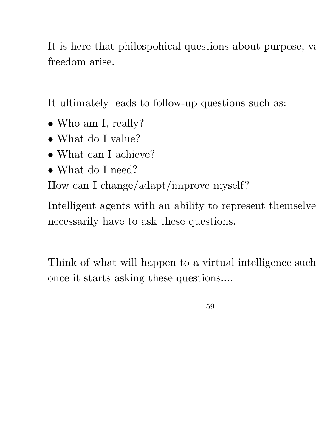It is here that philospohical questions about purpose, values, freedom arise.

It ultimately leads to follow-up questions such as:

- Who am I, really?
- What do I value?
- What can I achieve?
- What do I need?

How can I change/adapt/improve myself?

Intelligent agents with an ability to represent themselve necessarily have to ask these questions.

Think of what will happen to a virtual intelligence such once it starts asking these questions....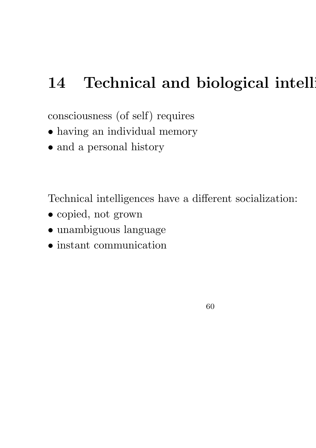## 14 Technical and biological intellig

consciousness (of self) requires

- having an individual memory
- and a personal history

Technical intelligences have a different socialization:

- copied, not grown
- unambiguous language
- instant communication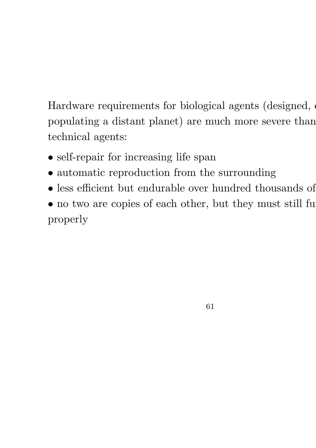Hardware requirements for biological agents (designed, populating a distant planet) are much more severe than technical agents:

- self-repair for increasing life span
- automatic reproduction from the surrounding
- less efficient but endurable over hundred thousands of
- $\bullet$  no two are copies of each other, but they must still fu properly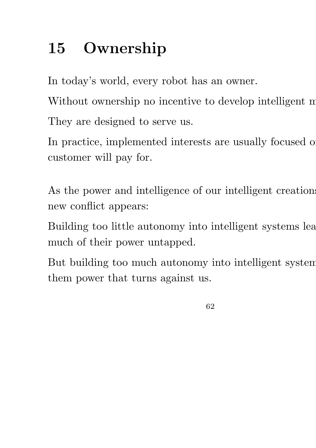# 15 Ownership

In today's world, every robot has an owner.

Without ownership no incentive to develop intelligent m

They are designed to serve us.

In practice, implemented interests are usually focused on customer will pay for.

As the power and intelligence of our intelligent creations new conflict appears:

Building too little autonomy into intelligent systems lea much of their power untapped.

But building too much autonomy into intelligent system them power that turns against us.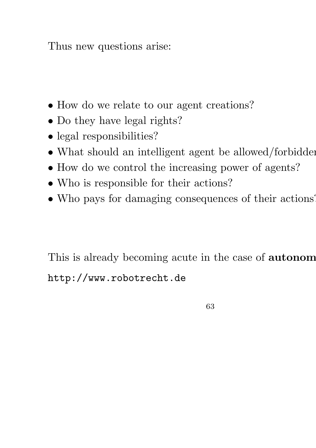Thus new questions arise:

- How do we relate to our agent creations?
- Do they have legal rights?
- legal responsibilities?
- What should an intelligent agent be allowed/forbidden
- How do we control the increasing power of agents?
- Who is responsible for their actions?
- Who pays for damaging consequences of their actions?

This is already becoming acute in the case of **autonom** http://www.robotrecht.de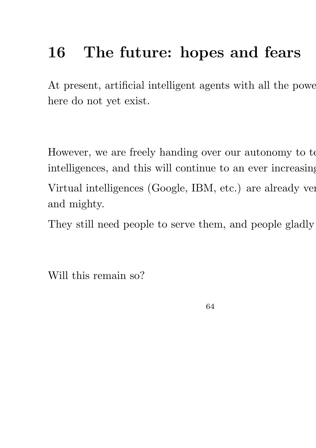# 16 The future: hopes and fears

At present, artificial intelligent agents with all the power here do not yet exist.

However, we are freely handing over our autonomy to to intelligences, and this will continue to an ever increasing Virtual intelligences (Google, IBM, etc.) are already ver and mighty.

They still need people to serve them, and people gladly

Will this remain so?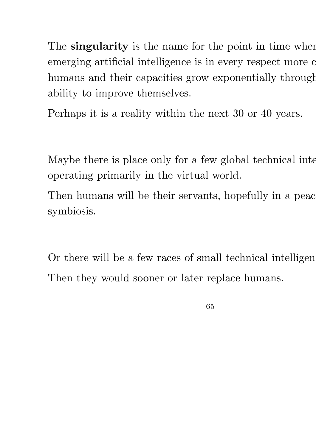The singularity is the name for the point in time when emerging artificial intelligence is in every respect more capability. humans and their capacities grow exponentially through ability to improve themselves.

Perhaps it is a reality within the next 30 or 40 years.

Maybe there is place only for a few global technical inte operating primarily in the virtual world.

Then humans will be their servants, hopefully in a peac symbiosis.

Or there will be a few races of small technical intelligen Then they would sooner or later replace humans.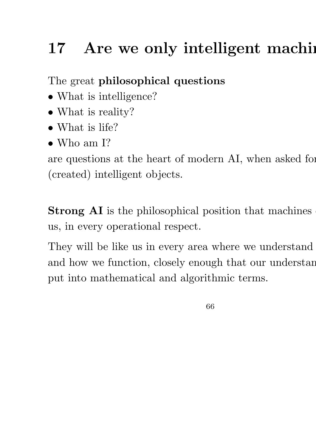# 17 Are we only intelligent machines

The great philosophical questions

- What is intelligence?
- What is reality?
- What is life?
- Who am I?

are questions at the heart of modern AI, when asked for (created) intelligent objects.

Strong AI is the philosophical position that machines us, in every operational respect.

They will be like us in every area where we understand and how we function, closely enough that our understanding put into mathematical and algorithmic terms.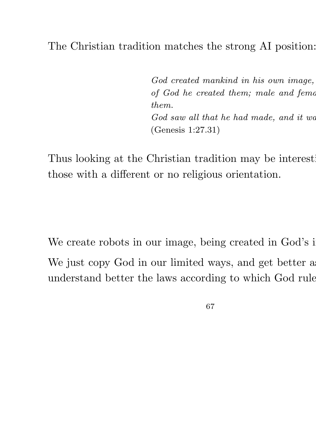### The Christian tradition matches the strong AI position:

God created mankind in his own image, of God he created them; male and female them. God saw all that he had made, and it was (Genesis 1:27.31)

Thus looking at the Christian tradition may be interest. those with a different or no religious orientation.

We create robots in our image, being created in God's image. We just copy God in our limited ways, and get better as understand better the laws according to which God rule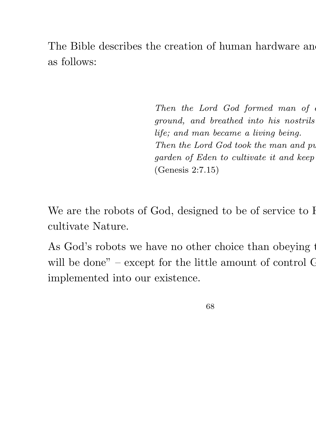The Bible describes the creation of human hardware and as follows:

> Then the Lord God formed man of ground, and breathed into his nostrils life; and man became a living being. Then the Lord God took the man and pu garden of Eden to cultivate it and keep (Genesis 2:7.15)

We are the robots of God, designed to be of service to I cultivate Nature.

As God's robots we have no other choice than obeying the will be done" – except for the little amount of control  $C$ implemented into our existence.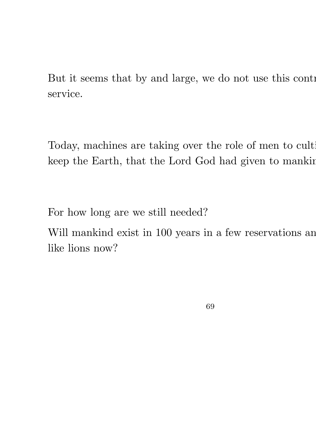But it seems that by and large, we do not use this control service.

Today, machines are taking over the role of men to cultikeep the Earth, that the Lord God had given to manking.

For how long are we still needed?

Will mankind exist in 100 years in a few reservations and like lions now?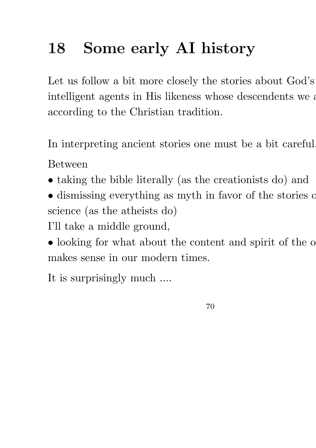# 18 Some early AI history

Let us follow a bit more closely the stories about God's intelligent agents in His likeness whose descendents we are according to the Christian tradition.

In interpreting ancient stories one must be a bit careful.

Between

- taking the bible literally (as the creationists do) and
- dismissing everything as myth in favor of the stories of science (as the atheists do)

I'll take a middle ground,

• looking for what about the content and spirit of the o makes sense in our modern times.

It is surprisingly much ....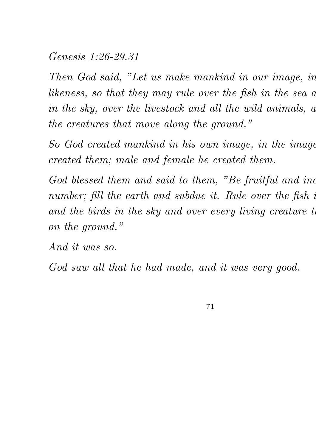#### Genesis 1:26-29.31

Then God said, "Let us make mankind in our image, in likeness, so that they may rule over the fish in the sea a in the sky, over the livestock and all the wild animals,  $a$ the creatures that move along the ground."

So God created mankind in his own image, in the image created them; male and female he created them.

God blessed them and said to them, "Be fruitful and inc number; fill the earth and subdue it. Rule over the fish in and the birds in the sky and over every living creature to on the ground."

And it was so.

God saw all that he had made, and it was very good.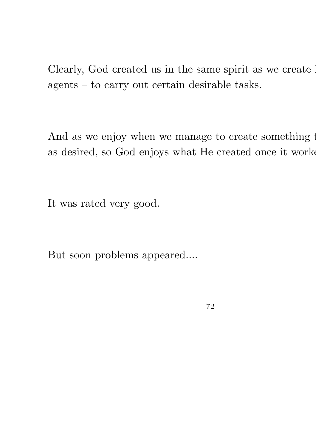Clearly, God created us in the same spirit as we create in agents – to carry out certain desirable tasks.

And as we enjoy when we manage to create something that as desired, so God enjoys what He created once it worked.

It was rated very good.

But soon problems appeared....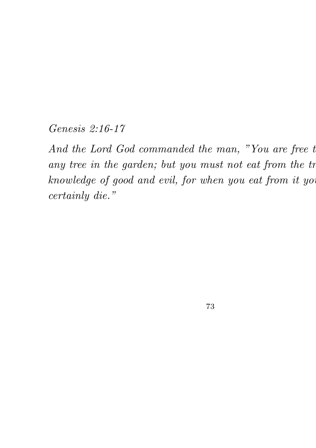Genesis 2:16-17

And the Lord God commanded the man, "You are free to any tree in the garden; but you must not eat from the tr knowledge of good and evil, for when you eat from it you certainly die."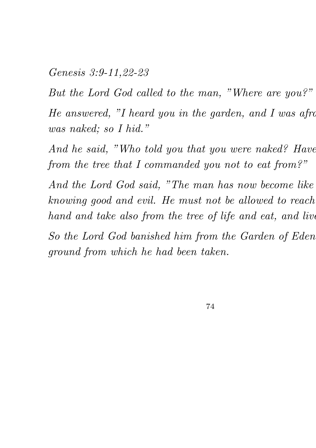Genesis 3:9-11,22-23

But the Lord God called to the man, "Where are you?"

He answered, "I heard you in the garden, and I was afrom was naked; so I hid."

And he said, "Who told you that you were naked? Have from the tree that I commanded you not to eat from?"

And the Lord God said, "The man has now become like knowing good and evil. He must not be allowed to reach hand and take also from the tree of life and eat, and live

So the Lord God banished him from the Garden of Eden ground from which he had been taken.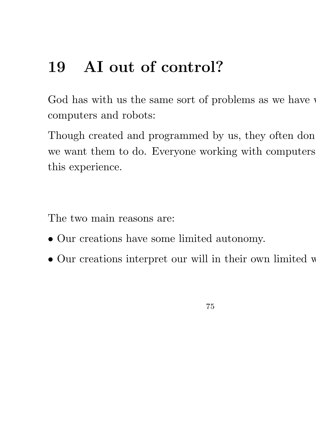## 19 AI out of control?

God has with us the same sort of problems as we have computers and robots:

Though created and programmed by us, they often don we want them to do. Everyone working with computers this experience.

The two main reasons are:

- Our creations have some limited autonomy.
- Our creations interpret our will in their own limited w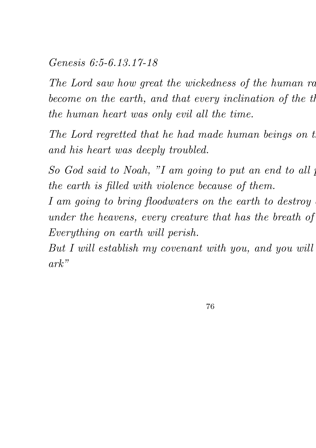## Genesis 6:5-6.13.17-18

The Lord saw how great the wickedness of the human racbecome on the earth, and that every inclination of the th the human heart was only evil all the time.

The Lord regretted that he had made human beings on the and his heart was deeply troubled.

So God said to Noah, "I am going to put an end to all p the earth is filled with violence because of them.

I am going to bring floodwaters on the earth to destroy under the heavens, every creature that has the breath of Everything on earth will perish.

But I will establish my covenant with you, and you will ark"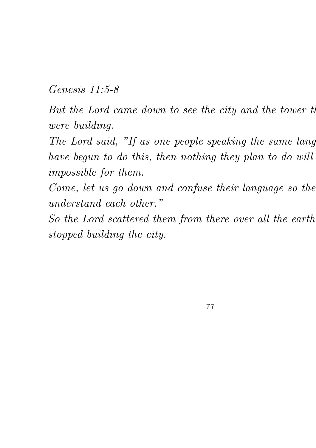Genesis 11:5-8

But the Lord came down to see the city and the tower the were building.

The Lord said, "If as one people speaking the same language have begun to do this, then nothing they plan to do will impossible for them.

Come, let us go down and confuse their language so the understand each other."

So the Lord scattered them from there over all the earth stopped building the city.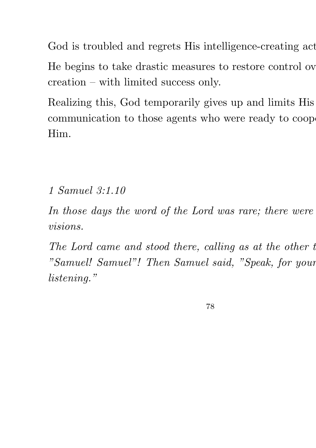God is troubled and regrets His intelligence-creating act

He begins to take drastic measures to restore control ov creation – with limited success only.

Realizing this, God temporarily gives up and limits His communication to those agents who were ready to cooperate Him.

1 Samuel 3:1.10

In those days the word of the Lord was rare; there were visions.

The Lord came and stood there, calling as at the other  $t$ "Samuel! Samuel"! Then Samuel said, "Speak, for your listening."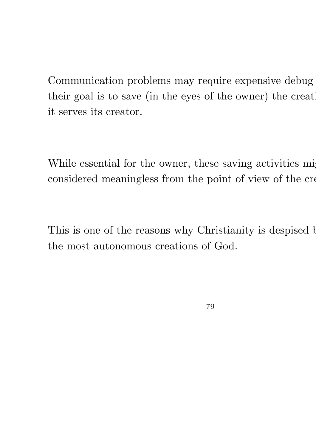Communication problems may require expensive debug their goal is to save (in the eyes of the owner) the creat it serves its creator.

While essential for the owner, these saving activities might considered meaningless from the point of view of the cre

This is one of the reasons why Christianity is despised b the most autonomous creations of God.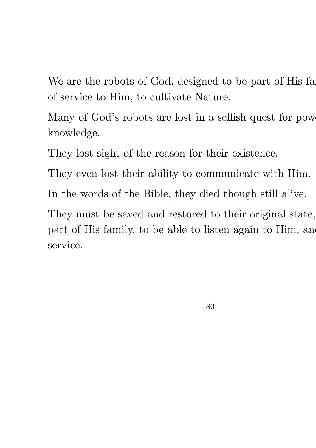We are the robots of God, designed to be part of His family of service to Him, to cultivate Nature.

Many of God's robots are lost in a selfish quest for power knowledge.

They lost sight of the reason for their existence.

They even lost their ability to communicate with Him.

In the words of the Bible, they died though still alive.

They must be saved and restored to their original state, part of His family, to be able to listen again to Him, and service.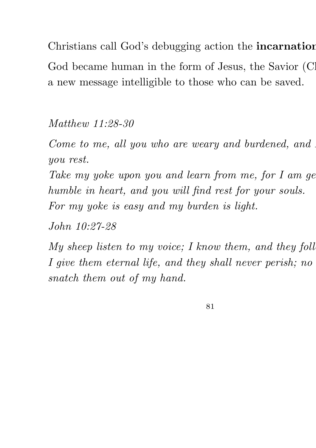Christians call God's debugging action the incarnation God became human in the form of Jesus, the Savior (C) a new message intelligible to those who can be saved.

Matthew 11:28-30

Come to me, all you who are weary and burdened, and you rest.

Take my yoke upon you and learn from me, for  $I$  am gentlem humble in heart, and you will find rest for your souls. For my yoke is easy and my burden is light.

John 10:27-28

My sheep listen to my voice; I know them, and they foll I give them eternal life, and they shall never perish; no snatch them out of my hand.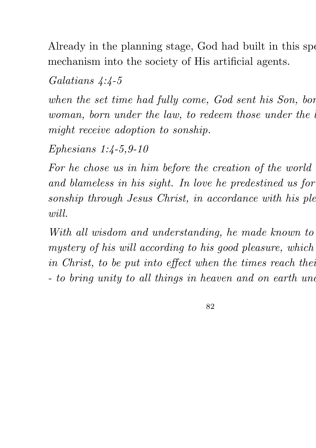Already in the planning stage, God had built in this special mechanism into the society of His artificial agents.

Galatians 4:4-5

when the set time had fully come, God sent his Son, bor woman, born under the law, to redeem those under the might receive adoption to sonship.

Ephesians 1:4-5,9-10

For he chose us in him before the creation of the world and blameless in his sight. In love he predestined us for sonship through Jesus Christ, in accordance with his ple will.

With all wisdom and understanding, he made known to mystery of his will according to his good pleasure, which in Christ, to be put into effect when the times reach their - to bring unity to all things in heaven and on earth und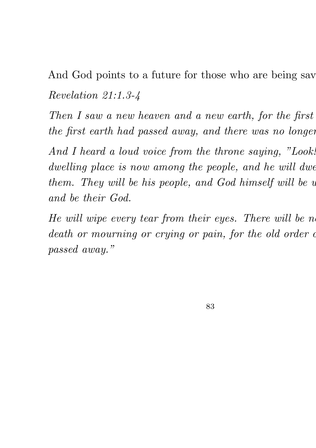And God points to a future for those who are being sav Revelation 21:1.3-4

Then I saw a new heaven and a new earth, for the first the first earth had passed away, and there was no longer

And I heard a loud voice from the throne saying, "Look! dwelling place is now among the people, and he will dwe them. They will be his people, and God himself will be  $u$ and be their God.

He will wipe every tear from their eyes. There will be no death or mourning or crying or pain, for the old order of passed away."